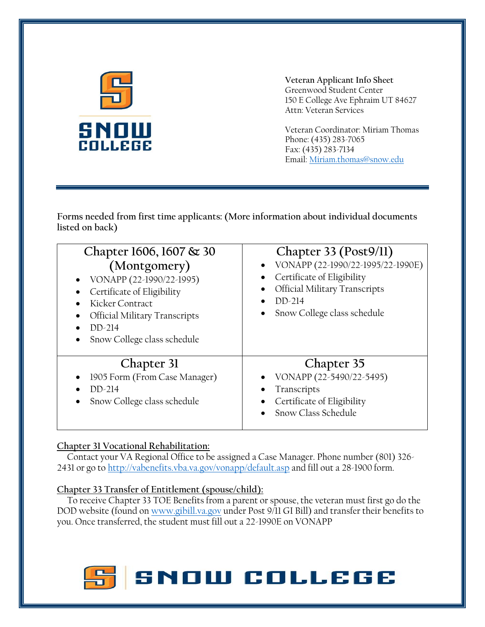

**Veteran Applicant Info Sheet** Greenwood Student Center 150 E College Ave Ephraim UT 84627 Attn: Veteran Services

Veteran Coordinator: Miriam Thomas Phone: (435) 283-7065 Fax: (435) 283-7134 Email[: Miriam.thomas@snow.edu](mailto:Miriam.thomas@snow.edu)

**Forms needed from first time applicants: (More information about individual documents listed on back)**

| Chapter 1606, 1607 & 30<br>(Montgomery)<br>VONAPP (22-1990/22-1995)<br>Certificate of Eligibility<br>Kicker Contract<br><b>Official Military Transcripts</b><br>$DD-214$<br>Snow College class schedule | Chapter 33 (Post9/11)<br>VONAPP (22-1990/22-1995/22-1990E)<br>Certificate of Eligibility<br>Official Military Transcripts<br>$DD-214$<br>Snow College class schedule |
|---------------------------------------------------------------------------------------------------------------------------------------------------------------------------------------------------------|----------------------------------------------------------------------------------------------------------------------------------------------------------------------|
| Chapter 31<br>1905 Form (From Case Manager)<br>DD-214<br>Snow College class schedule                                                                                                                    | Chapter 35<br>VONAPP (22-5490/22-5495)<br>Transcripts<br>Certificate of Eligibility<br>Snow Class Schedule                                                           |

## **Chapter 31 Vocational Rehabilitation:**

 Contact your VA Regional Office to be assigned a Case Manager. Phone number (801) 326- 2431 or go to<http://vabenefits.vba.va.gov/vonapp/default.asp> and fill out a 28-1900 form.

## **Chapter 33 Transfer of Entitlement (spouse/child):**

 To receive Chapter 33 TOE Benefits from a parent or spouse, the veteran must first go do the DOD website (found on [www.gibill.va.gov](http://www.gibill.va.gov/) under Post 9/11 GI Bill) and transfer their benefits to you. Once transferred, the student must fill out a 22-1990E on VONAPP